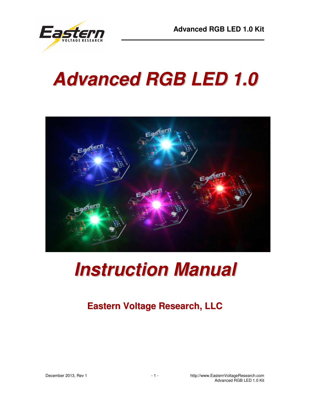

# **Advanced RGB LED 1.0**



# **Instruction Manual**

## **Eastern Voltage Research, LLC**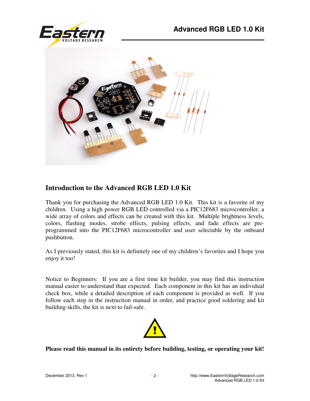



#### **Introduction to the Advanced RGB LED 1.0 Kit**

Thank you for purchasing the Advanced RGB LED 1.0 Kit. This kit is a favorite of my children. Using a high power RGB LED controlled via a PIC12F683 microcontroller, a wide array of colors and effects can be created with this kit. Multiple brightness levels, colors, flashing modes, strobe effects, pulsing effects, and fade effects are preprogrammed into the PIC12F683 microcontroller and user selectable by the onboard pushbutton.

As I previously stated, this kit is definitely one of my children's favorites and I hope you enjoy it too!

Notice to Beginners: If you are a first time kit builder, you may find this instruction manual easier to understand than expected. Each component in this kit has an individual check box, while a detailed description of each component is provided as well. If you follow each step in the instruction manual in order, and practice good soldering and kit building skills, the kit is next to fail-safe.



**Please read this manual in its entirety before building, testing, or operating your kit!**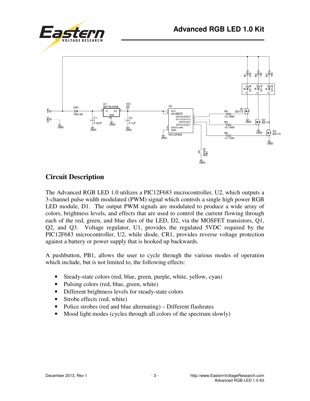





#### **Circuit Description**

The Advanced RGB LED 1.0 utilizes a PIC12F683 microcontroller, U2, which outputs a 3-channel pulse width modulated (PWM) signal which controls a single high power RGB LED module, D1. The output PWM signals are modulated to produce a wide array of colors, brightness levels, and effects that are used to control the current flowing through each of the red, green, and blue dies of the LED, D2, via the MOSFET transistors, Q1, Q2, and Q3. Voltage regulator, U1, provides the regulated 5VDC required by the PIC12F683 microcontroller, U2, while diode, CR1, provides reverse voltage protection against a battery or power supply that is hooked up backwards.

A pushbutton, PB1, allows the user to cycle through the various modes of operation which include, but is not limited to, the following effects:

- Steady-state colors (red, blue, green, purple, white, yellow, cyan)
- Pulsing colors (red, blue, green, white)
- Different brightness levels for steady-state colors
- Strobe effects (red, white)
- Police strobes (red and blue alternating) Different flashrates
- Mood light modes (cycles through all colors of the spectrum slowly)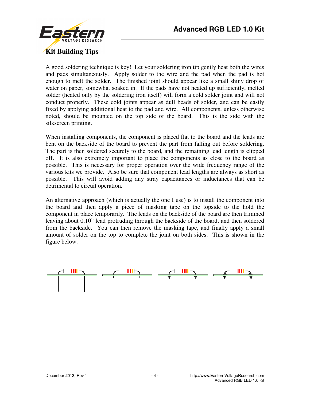

A good soldering technique is key! Let your soldering iron tip gently heat both the wires and pads simultaneously. Apply solder to the wire and the pad when the pad is hot enough to melt the solder. The finished joint should appear like a small shiny drop of water on paper, somewhat soaked in. If the pads have not heated up sufficiently, melted solder (heated only by the soldering iron itself) will form a cold solder joint and will not conduct properly. These cold joints appear as dull beads of solder, and can be easily fixed by applying additional heat to the pad and wire. All components, unless otherwise noted, should be mounted on the top side of the board. This is the side with the silkscreen printing.

When installing components, the component is placed flat to the board and the leads are bent on the backside of the board to prevent the part from falling out before soldering. The part is then soldered securely to the board, and the remaining lead length is clipped off. It is also extremely important to place the components as close to the board as possible. This is necessary for proper operation over the wide frequency range of the various kits we provide. Also be sure that component lead lengths are always as short as possible. This will avoid adding any stray capacitances or inductances that can be detrimental to circuit operation.

An alternative approach (which is actually the one I use) is to install the component into the board and then apply a piece of masking tape on the topside to the hold the component in place temporarily. The leads on the backside of the board are then trimmed leaving about 0.10" lead protruding through the backside of the board, and then soldered from the backside. You can then remove the masking tape, and finally apply a small amount of solder on the top to complete the joint on both sides. This is shown in the figure below.

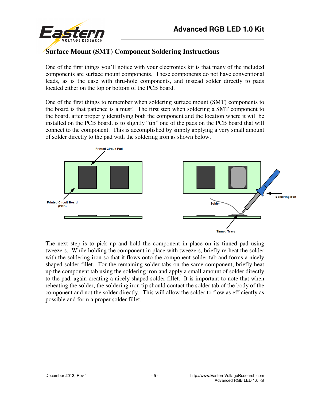

One of the first things you'll notice with your electronics kit is that many of the included components are surface mount components. These components do not have conventional leads, as is the case with thru-hole components, and instead solder directly to pads located either on the top or bottom of the PCB board.

One of the first things to remember when soldering surface mount (SMT) components to the board is that patience is a must! The first step when soldering a SMT component to the board, after properly identifying both the component and the location where it will be installed on the PCB board, is to slightly "tin" one of the pads on the PCB board that will connect to the component. This is accomplished by simply applying a very small amount of solder directly to the pad with the soldering iron as shown below.



The next step is to pick up and hold the component in place on its tinned pad using tweezers. While holding the component in place with tweezers, briefly re-heat the solder with the soldering iron so that it flows onto the component solder tab and forms a nicely shaped solder fillet. For the remaining solder tabs on the same component, briefly heat up the component tab using the soldering iron and apply a small amount of solder directly to the pad, again creating a nicely shaped solder fillet. It is important to note that when reheating the solder, the soldering iron tip should contact the solder tab of the body of the component and not the solder directly. This will allow the solder to flow as efficiently as possible and form a proper solder fillet.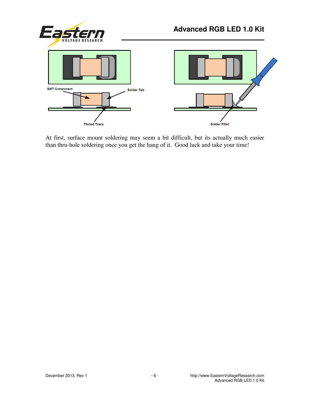

At first, surface mount soldering may seem a bit difficult, but its actually much easier than thru-hole soldering once you get the hang of it. Good luck and take your time!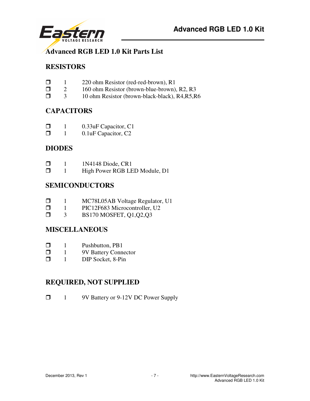



#### **Advanced RGB LED 1.0 Kit Parts List**

#### **RESISTORS**

- 1 220 ohm Resistor (red-red-brown), R1
- $\Box$  2 160 ohm Resistor (brown-blue-brown), R2, R3
- □ 3 10 ohm Resistor (brown-black-black), R4,R5,R6

#### **CAPACITORS**

- **1** 0.33uF Capacitor, C1
- **1** 0.1uF Capacitor, C<sub>2</sub>

#### **DIODES**

- $\Box$  1 1N4148 Diode, CR1<br> $\Box$  1 High Power RGB LH
- 1 High Power RGB LED Module, D1

#### **SEMICONDUCTORS**

- **1** MC78L05AB Voltage Regulator, U1
- $\Box$  1 PIC12F683 Microcontroller, U2<br> $\Box$  3 BS170 MOSFET, O1 O2 O3
- 3 BS170 MOSFET, Q1,Q2,Q3

#### **MISCELLANEOUS**

- $\Box$  1 Pushbutton, PB1
- $\Box$  1 9V Battery Connector<br> $\Box$  1 DIP Socket. 8-Pin
- 1 DIP Socket, 8-Pin

#### **REQUIRED, NOT SUPPLIED**

1 9V Battery or 9-12V DC Power Supply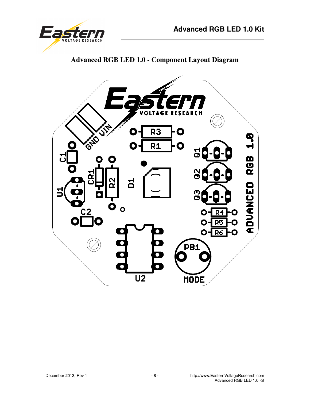

**Advanced RGB LED 1.0 - Component Layout Diagram** 

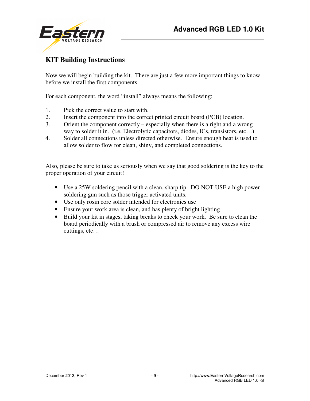

### **KIT Building Instructions**

Now we will begin building the kit. There are just a few more important things to know before we install the first components.

For each component, the word "install" always means the following:

- 1. Pick the correct value to start with.
- 2. Insert the component into the correct printed circuit board (PCB) location.
- 3. Orient the component correctly especially when there is a right and a wrong way to solder it in. (i.e. Electrolytic capacitors, diodes, ICs, transistors, etc...)
- 4. Solder all connections unless directed otherwise. Ensure enough heat is used to allow solder to flow for clean, shiny, and completed connections.

Also, please be sure to take us seriously when we say that good soldering is the key to the proper operation of your circuit!

- Use a 25W soldering pencil with a clean, sharp tip. DO NOT USE a high power soldering gun such as those trigger activated units.
- Use only rosin core solder intended for electronics use
- Ensure your work area is clean, and has plenty of bright lighting
- Build your kit in stages, taking breaks to check your work. Be sure to clean the board periodically with a brush or compressed air to remove any excess wire cuttings, etc…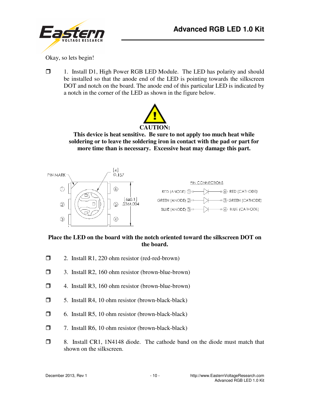



Okay, so lets begin!

 1. Install D1, High Power RGB LED Module. The LED has polarity and should be installed so that the anode end of the LED is pointing towards the silkscreen DOT and notch on the board. The anode end of this particular LED is indicated by a notch in the corner of the LED as shown in the figure below.



**This device is heat sensitive. Be sure to not apply too much heat while soldering or to leave the soldering iron in contact with the pad or part for more time than is necessary. Excessive heat may damage this part.** 



#### **Place the LED on the board with the notch oriented toward the silkscreen DOT on the board.**

- $\Box$  2. Install R1, 220 ohm resistor (red-red-brown)
- 3. Install R2, 160 ohm resistor (brown-blue-brown)
- 4. Install R3, 160 ohm resistor (brown-blue-brown)
- $\Box$  5. Install R4, 10 ohm resistor (brown-black-black)
- $\Box$  6. Install R5, 10 ohm resistor (brown-black-black)
- 7. Install R6, 10 ohm resistor (brown-black-black)
- 8. Install CR1, 1N4148 diode. The cathode band on the diode must match that shown on the silkscreen.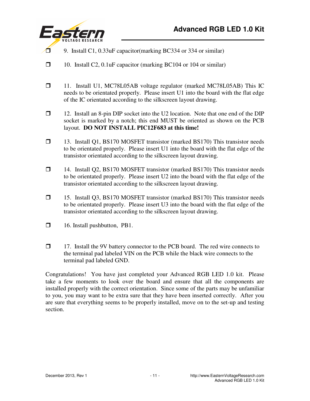

- 9. Install C1, 0.33uF capacitor (marking BC334 or 334 or similar)
- $\Box$  10. Install C2, 0.1uF capacitor (marking BC104 or 104 or similar)
- 11. Install U1, MC78L05AB voltage regulator (marked MC78L05AB) This IC needs to be orientated properly. Please insert U1 into the board with the flat edge of the IC orientated according to the silkscreen layout drawing.
- $\Box$  12. Install an 8-pin DIP socket into the U2 location. Note that one end of the DIP socket is marked by a notch; this end MUST be oriented as shown on the PCB layout. **DO NOT INSTALL PIC12F683 at this time!**
- 13. Install Q1, BS170 MOSFET transistor (marked BS170) This transistor needs to be orientated properly. Please insert U1 into the board with the flat edge of the transistor orientated according to the silkscreen layout drawing.
- 14. Install Q2, BS170 MOSFET transistor (marked BS170) This transistor needs to be orientated properly. Please insert U2 into the board with the flat edge of the transistor orientated according to the silkscreen layout drawing.
- 15. Install Q3, BS170 MOSFET transistor (marked BS170) This transistor needs to be orientated properly. Please insert U3 into the board with the flat edge of the transistor orientated according to the silkscreen layout drawing.
- □ 16. Install pushbutton, PB1.
- $\Box$  17. Install the 9V battery connector to the PCB board. The red wire connects to the terminal pad labeled VIN on the PCB while the black wire connects to the terminal pad labeled GND.

Congratulations! You have just completed your Advanced RGB LED 1.0 kit. Please take a few moments to look over the board and ensure that all the components are installed properly with the correct orientation. Since some of the parts may be unfamiliar to you, you may want to be extra sure that they have been inserted correctly. After you are sure that everything seems to be properly installed, move on to the set-up and testing section.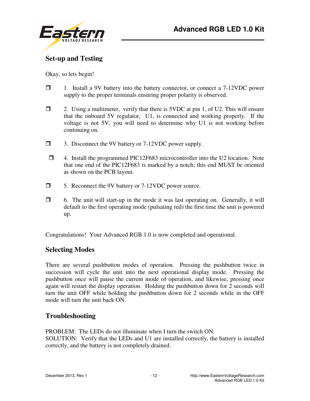

### **Set-up and Testing**

Okay, so lets begin!

- $\Box$  1. Install a 9V battery into the battery connector, or connect a 7-12VDC power supply to the proper terminals ensuring proper polarity is observed.
- $\Box$  2. Using a multimeter, verify that there is 5VDC at pin 1, of U2. This will ensure that the onboard 5V regulator, U1, is connected and working properly. If the voltage is not 5V, you will need to determine why U1 is not working before continuing on.
- 3. Disconnect the 9V battery or 7-12VDC power supply.
- 4. Install the programmed PIC12F683 microcontroller into the U2 location. Note that one end of the PIC12F683 is marked by a notch; this end MUST be oriented as shown on the PCB layout.
- □ 5. Reconnect the 9V battery or 7-12VDC power source.
- $\Box$  6. The unit will start-up in the mode it was last operating on. Generally, it will default to the first operating mode (pulsating red) the first time the unit is powered up.

Congratulations! Your Advanced RGB 1.0 is now completed and operational.

#### **Selecting Modes**

There are several pushbutton modes of operation. Pressing the pushbutton twice in succession will cycle the unit into the next operational display mode. Pressing the pushbutton once will pause the current mode of operation, and likewise, pressing once again will restart the display operation. Holding the pushbutton down for 2 seconds will turn the unit OFF while holding the pushbutton down for 2 seconds while in the OFF mode will turn the unit back ON.

#### **Troubleshooting**

PROBLEM: The LEDs do not illuminate when I turn the switch ON. SOLUTION: Verify that the LEDs and U1 are installed correctly, the battery is installed correctly, and the battery is not completely drained.